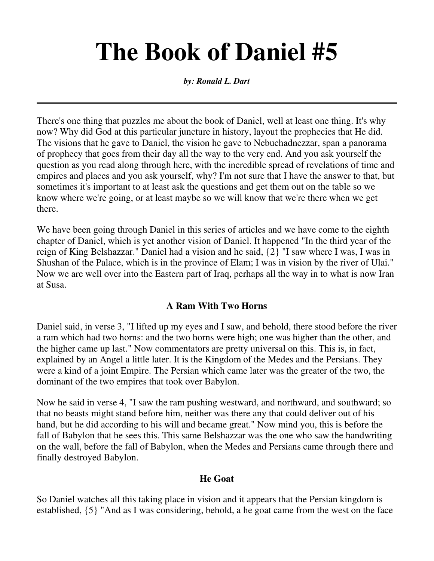# **The Book of Daniel #5**

*by: Ronald L. Dart*

There's one thing that puzzles me about the book of Daniel, well at least one thing. It's why now? Why did God at this particular juncture in history, layout the prophecies that He did. The visions that he gave to Daniel, the vision he gave to Nebuchadnezzar, span a panorama of prophecy that goes from their day all the way to the very end. And you ask yourself the question as you read along through here, with the incredible spread of revelations of time and empires and places and you ask yourself, why? I'm not sure that I have the answer to that, but sometimes it's important to at least ask the questions and get them out on the table so we know where we're going, or at least maybe so we will know that we're there when we get there.

We have been going through Daniel in this series of articles and we have come to the eighth chapter of Daniel, which is yet another vision of Daniel. It happened "In the third year of the reign of King Belshazzar." Daniel had a vision and he said, {2} "I saw where I was, I was in Shushan of the Palace, which is in the province of Elam; I was in vision by the river of Ulai." Now we are well over into the Eastern part of Iraq, perhaps all the way in to what is now Iran at Susa.

#### **A Ram With Two Horns**

Daniel said, in verse 3, "I lifted up my eyes and I saw, and behold, there stood before the river a ram which had two horns: and the two horns were high; one was higher than the other, and the higher came up last." Now commentators are pretty universal on this. This is, in fact, explained by an Angel a little later. It is the Kingdom of the Medes and the Persians. They were a kind of a joint Empire. The Persian which came later was the greater of the two, the dominant of the two empires that took over Babylon.

Now he said in verse 4, "I saw the ram pushing westward, and northward, and southward; so that no beasts might stand before him, neither was there any that could deliver out of his hand, but he did according to his will and became great." Now mind you, this is before the fall of Babylon that he sees this. This same Belshazzar was the one who saw the handwriting on the wall, before the fall of Babylon, when the Medes and Persians came through there and finally destroyed Babylon.

## **He Goat**

So Daniel watches all this taking place in vision and it appears that the Persian kingdom is established, {5} "And as I was considering, behold, a he goat came from the west on the face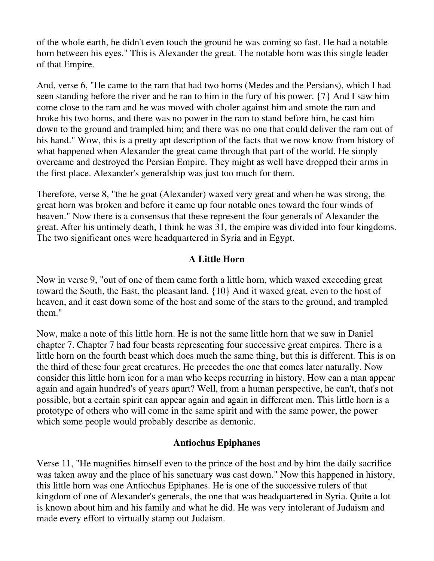of the whole earth, he didn't even touch the ground he was coming so fast. He had a notable horn between his eyes." This is Alexander the great. The notable horn was this single leader of that Empire.

And, verse 6, "He came to the ram that had two horns (Medes and the Persians), which I had seen standing before the river and he ran to him in the fury of his power. {7} And I saw him come close to the ram and he was moved with choler against him and smote the ram and broke his two horns, and there was no power in the ram to stand before him, he cast him down to the ground and trampled him; and there was no one that could deliver the ram out of his hand." Wow, this is a pretty apt description of the facts that we now know from history of what happened when Alexander the great came through that part of the world. He simply overcame and destroyed the Persian Empire. They might as well have dropped their arms in the first place. Alexander's generalship was just too much for them.

Therefore, verse 8, "the he goat (Alexander) waxed very great and when he was strong, the great horn was broken and before it came up four notable ones toward the four winds of heaven." Now there is a consensus that these represent the four generals of Alexander the great. After his untimely death, I think he was 31, the empire was divided into four kingdoms. The two significant ones were headquartered in Syria and in Egypt.

## **A Little Horn**

Now in verse 9, "out of one of them came forth a little horn, which waxed exceeding great toward the South, the East, the pleasant land. {10} And it waxed great, even to the host of heaven, and it cast down some of the host and some of the stars to the ground, and trampled them."

Now, make a note of this little horn. He is not the same little horn that we saw in Daniel chapter 7. Chapter 7 had four beasts representing four successive great empires. There is a little horn on the fourth beast which does much the same thing, but this is different. This is on the third of these four great creatures. He precedes the one that comes later naturally. Now consider this little horn icon for a man who keeps recurring in history. How can a man appear again and again hundred's of years apart? Well, from a human perspective, he can't, that's not possible, but a certain spirit can appear again and again in different men. This little horn is a prototype of others who will come in the same spirit and with the same power, the power which some people would probably describe as demonic.

#### **Antiochus Epiphanes**

Verse 11, "He magnifies himself even to the prince of the host and by him the daily sacrifice was taken away and the place of his sanctuary was cast down." Now this happened in history, this little horn was one Antiochus Epiphanes. He is one of the successive rulers of that kingdom of one of Alexander's generals, the one that was headquartered in Syria. Quite a lot is known about him and his family and what he did. He was very intolerant of Judaism and made every effort to virtually stamp out Judaism.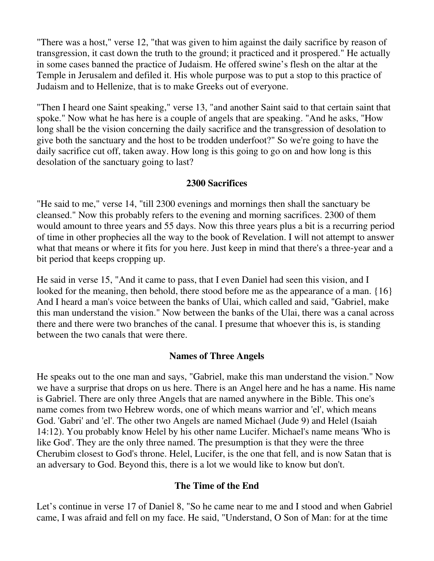"There was a host," verse 12, "that was given to him against the daily sacrifice by reason of transgression, it cast down the truth to the ground; it practiced and it prospered." He actually in some cases banned the practice of Judaism. He offered swine's flesh on the altar at the Temple in Jerusalem and defiled it. His whole purpose was to put a stop to this practice of Judaism and to Hellenize, that is to make Greeks out of everyone.

"Then I heard one Saint speaking," verse 13, "and another Saint said to that certain saint that spoke." Now what he has here is a couple of angels that are speaking. "And he asks, "How long shall be the vision concerning the daily sacrifice and the transgression of desolation to give both the sanctuary and the host to be trodden underfoot?" So we're going to have the daily sacrifice cut off, taken away. How long is this going to go on and how long is this desolation of the sanctuary going to last?

#### **2300 Sacrifices**

"He said to me," verse 14, "till 2300 evenings and mornings then shall the sanctuary be cleansed." Now this probably refers to the evening and morning sacrifices. 2300 of them would amount to three years and 55 days. Now this three years plus a bit is a recurring period of time in other prophecies all the way to the book of Revelation. I will not attempt to answer what that means or where it fits for you here. Just keep in mind that there's a three-year and a bit period that keeps cropping up.

He said in verse 15, "And it came to pass, that I even Daniel had seen this vision, and I looked for the meaning, then behold, there stood before me as the appearance of a man. {16} And I heard a man's voice between the banks of Ulai, which called and said, "Gabriel, make this man understand the vision." Now between the banks of the Ulai, there was a canal across there and there were two branches of the canal. I presume that whoever this is, is standing between the two canals that were there.

#### **Names of Three Angels**

He speaks out to the one man and says, "Gabriel, make this man understand the vision." Now we have a surprise that drops on us here. There is an Angel here and he has a name. His name is Gabriel. There are only three Angels that are named anywhere in the Bible. This one's name comes from two Hebrew words, one of which means warrior and 'el', which means God. 'Gabri' and 'el'. The other two Angels are named Michael (Jude 9) and Helel (Isaiah 14:12). You probably know Helel by his other name Lucifer. Michael's name means 'Who is like God'. They are the only three named. The presumption is that they were the three Cherubim closest to God's throne. Helel, Lucifer, is the one that fell, and is now Satan that is an adversary to God. Beyond this, there is a lot we would like to know but don't.

#### **The Time of the End**

Let's continue in verse 17 of Daniel 8, "So he came near to me and I stood and when Gabriel came, I was afraid and fell on my face. He said, "Understand, O Son of Man: for at the time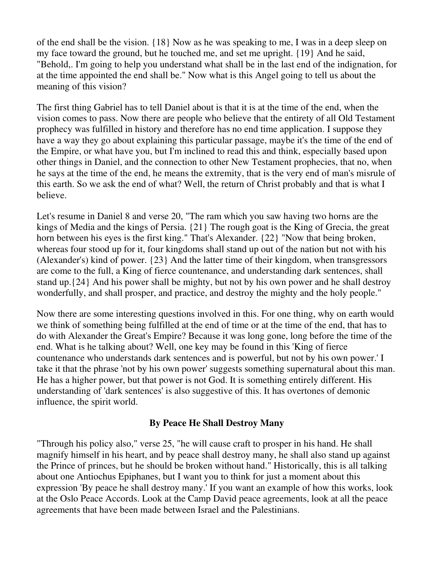of the end shall be the vision. {18} Now as he was speaking to me, I was in a deep sleep on my face toward the ground, but he touched me, and set me upright. {19} And he said, "Behold,. I'm going to help you understand what shall be in the last end of the indignation, for at the time appointed the end shall be." Now what is this Angel going to tell us about the meaning of this vision?

The first thing Gabriel has to tell Daniel about is that it is at the time of the end, when the vision comes to pass. Now there are people who believe that the entirety of all Old Testament prophecy was fulfilled in history and therefore has no end time application. I suppose they have a way they go about explaining this particular passage, maybe it's the time of the end of the Empire, or what have you, but I'm inclined to read this and think, especially based upon other things in Daniel, and the connection to other New Testament prophecies, that no, when he says at the time of the end, he means the extremity, that is the very end of man's misrule of this earth. So we ask the end of what? Well, the return of Christ probably and that is what I believe.

Let's resume in Daniel 8 and verse 20, "The ram which you saw having two horns are the kings of Media and the kings of Persia. {21} The rough goat is the King of Grecia, the great horn between his eyes is the first king." That's Alexander. {22} "Now that being broken, whereas four stood up for it, four kingdoms shall stand up out of the nation but not with his (Alexander's) kind of power. {23} And the latter time of their kingdom, when transgressors are come to the full, a King of fierce countenance, and understanding dark sentences, shall stand up.{24} And his power shall be mighty, but not by his own power and he shall destroy wonderfully, and shall prosper, and practice, and destroy the mighty and the holy people."

Now there are some interesting questions involved in this. For one thing, why on earth would we think of something being fulfilled at the end of time or at the time of the end, that has to do with Alexander the Great's Empire? Because it was long gone, long before the time of the end. What is he talking about? Well, one key may be found in this 'King of fierce countenance who understands dark sentences and is powerful, but not by his own power.' I take it that the phrase 'not by his own power' suggests something supernatural about this man. He has a higher power, but that power is not God. It is something entirely different. His understanding of 'dark sentences' is also suggestive of this. It has overtones of demonic influence, the spirit world.

#### **By Peace He Shall Destroy Many**

"Through his policy also," verse 25, "he will cause craft to prosper in his hand. He shall magnify himself in his heart, and by peace shall destroy many, he shall also stand up against the Prince of princes, but he should be broken without hand." Historically, this is all talking about one Antiochus Epiphanes, but I want you to think for just a moment about this expression 'By peace he shall destroy many.' If you want an example of how this works, look at the Oslo Peace Accords. Look at the Camp David peace agreements, look at all the peace agreements that have been made between Israel and the Palestinians.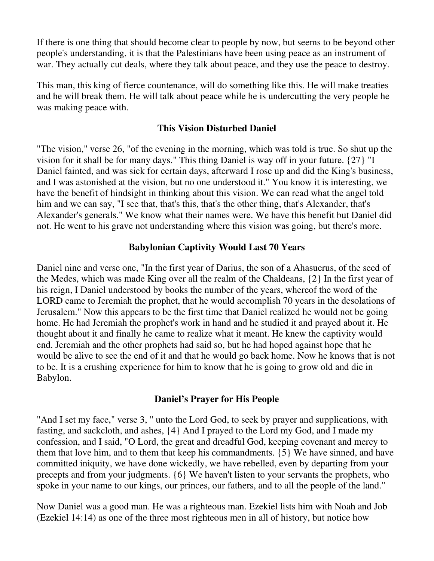If there is one thing that should become clear to people by now, but seems to be beyond other people's understanding, it is that the Palestinians have been using peace as an instrument of war. They actually cut deals, where they talk about peace, and they use the peace to destroy.

This man, this king of fierce countenance, will do something like this. He will make treaties and he will break them. He will talk about peace while he is undercutting the very people he was making peace with.

#### **This Vision Disturbed Daniel**

"The vision," verse 26, "of the evening in the morning, which was told is true. So shut up the vision for it shall be for many days." This thing Daniel is way off in your future. {27} "I Daniel fainted, and was sick for certain days, afterward I rose up and did the King's business, and I was astonished at the vision, but no one understood it." You know it is interesting, we have the benefit of hindsight in thinking about this vision. We can read what the angel told him and we can say, "I see that, that's this, that's the other thing, that's Alexander, that's Alexander's generals." We know what their names were. We have this benefit but Daniel did not. He went to his grave not understanding where this vision was going, but there's more.

### **Babylonian Captivity Would Last 70 Years**

Daniel nine and verse one, "In the first year of Darius, the son of a Ahasuerus, of the seed of the Medes, which was made King over all the realm of the Chaldeans, {2} In the first year of his reign, I Daniel understood by books the number of the years, whereof the word of the LORD came to Jeremiah the prophet, that he would accomplish 70 years in the desolations of Jerusalem." Now this appears to be the first time that Daniel realized he would not be going home. He had Jeremiah the prophet's work in hand and he studied it and prayed about it. He thought about it and finally he came to realize what it meant. He knew the captivity would end. Jeremiah and the other prophets had said so, but he had hoped against hope that he would be alive to see the end of it and that he would go back home. Now he knows that is not to be. It is a crushing experience for him to know that he is going to grow old and die in Babylon.

#### **Daniel's Prayer for His People**

"And I set my face," verse 3, " unto the Lord God, to seek by prayer and supplications, with fasting, and sackcloth, and ashes, {4} And I prayed to the Lord my God, and I made my confession, and I said, "O Lord, the great and dreadful God, keeping covenant and mercy to them that love him, and to them that keep his commandments. {5} We have sinned, and have committed iniquity, we have done wickedly, we have rebelled, even by departing from your precepts and from your judgments. {6} We haven't listen to your servants the prophets, who spoke in your name to our kings, our princes, our fathers, and to all the people of the land."

Now Daniel was a good man. He was a righteous man. Ezekiel lists him with Noah and Job (Ezekiel 14:14) as one of the three most righteous men in all of history, but notice how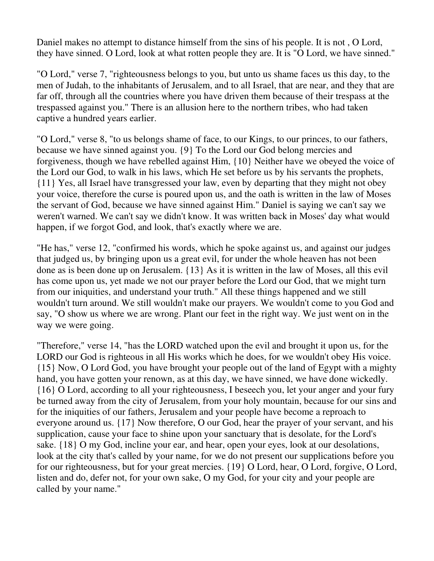Daniel makes no attempt to distance himself from the sins of his people. It is not , O Lord, they have sinned. O Lord, look at what rotten people they are. It is "O Lord, we have sinned."

"O Lord," verse 7, "righteousness belongs to you, but unto us shame faces us this day, to the men of Judah, to the inhabitants of Jerusalem, and to all Israel, that are near, and they that are far off, through all the countries where you have driven them because of their trespass at the trespassed against you." There is an allusion here to the northern tribes, who had taken captive a hundred years earlier.

"O Lord," verse 8, "to us belongs shame of face, to our Kings, to our princes, to our fathers, because we have sinned against you. {9} To the Lord our God belong mercies and forgiveness, though we have rebelled against Him, {10} Neither have we obeyed the voice of the Lord our God, to walk in his laws, which He set before us by his servants the prophets, {11} Yes, all Israel have transgressed your law, even by departing that they might not obey your voice, therefore the curse is poured upon us, and the oath is written in the law of Moses the servant of God, because we have sinned against Him." Daniel is saying we can't say we weren't warned. We can't say we didn't know. It was written back in Moses' day what would happen, if we forgot God, and look, that's exactly where we are.

"He has," verse 12, "confirmed his words, which he spoke against us, and against our judges that judged us, by bringing upon us a great evil, for under the whole heaven has not been done as is been done up on Jerusalem. {13} As it is written in the law of Moses, all this evil has come upon us, yet made we not our prayer before the Lord our God, that we might turn from our iniquities, and understand your truth." All these things happened and we still wouldn't turn around. We still wouldn't make our prayers. We wouldn't come to you God and say, "O show us where we are wrong. Plant our feet in the right way. We just went on in the way we were going.

"Therefore," verse 14, "has the LORD watched upon the evil and brought it upon us, for the LORD our God is righteous in all His works which he does, for we wouldn't obey His voice. {15} Now, O Lord God, you have brought your people out of the land of Egypt with a mighty hand, you have gotten your renown, as at this day, we have sinned, we have done wickedly. {16} O Lord, according to all your righteousness, I beseech you, let your anger and your fury be turned away from the city of Jerusalem, from your holy mountain, because for our sins and for the iniquities of our fathers, Jerusalem and your people have become a reproach to everyone around us. {17} Now therefore, O our God, hear the prayer of your servant, and his supplication, cause your face to shine upon your sanctuary that is desolate, for the Lord's sake. {18} O my God, incline your ear, and hear, open your eyes, look at our desolations, look at the city that's called by your name, for we do not present our supplications before you for our righteousness, but for your great mercies. {19} O Lord, hear, O Lord, forgive, O Lord, listen and do, defer not, for your own sake, O my God, for your city and your people are called by your name."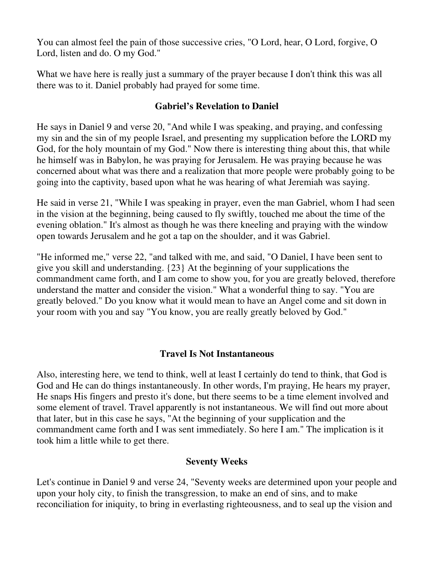You can almost feel the pain of those successive cries, "O Lord, hear, O Lord, forgive, O Lord, listen and do. O my God."

What we have here is really just a summary of the prayer because I don't think this was all there was to it. Daniel probably had prayed for some time.

### **Gabriel's Revelation to Daniel**

He says in Daniel 9 and verse 20, "And while I was speaking, and praying, and confessing my sin and the sin of my people Israel, and presenting my supplication before the LORD my God, for the holy mountain of my God." Now there is interesting thing about this, that while he himself was in Babylon, he was praying for Jerusalem. He was praying because he was concerned about what was there and a realization that more people were probably going to be going into the captivity, based upon what he was hearing of what Jeremiah was saying.

He said in verse 21, "While I was speaking in prayer, even the man Gabriel, whom I had seen in the vision at the beginning, being caused to fly swiftly, touched me about the time of the evening oblation." It's almost as though he was there kneeling and praying with the window open towards Jerusalem and he got a tap on the shoulder, and it was Gabriel.

"He informed me," verse 22, "and talked with me, and said, "O Daniel, I have been sent to give you skill and understanding. {23} At the beginning of your supplications the commandment came forth, and I am come to show you, for you are greatly beloved, therefore understand the matter and consider the vision." What a wonderful thing to say. "You are greatly beloved." Do you know what it would mean to have an Angel come and sit down in your room with you and say "You know, you are really greatly beloved by God."

## **Travel Is Not Instantaneous**

Also, interesting here, we tend to think, well at least I certainly do tend to think, that God is God and He can do things instantaneously. In other words, I'm praying, He hears my prayer, He snaps His fingers and presto it's done, but there seems to be a time element involved and some element of travel. Travel apparently is not instantaneous. We will find out more about that later, but in this case he says, "At the beginning of your supplication and the commandment came forth and I was sent immediately. So here I am." The implication is it took him a little while to get there.

## **Seventy Weeks**

Let's continue in Daniel 9 and verse 24, "Seventy weeks are determined upon your people and upon your holy city, to finish the transgression, to make an end of sins, and to make reconciliation for iniquity, to bring in everlasting righteousness, and to seal up the vision and